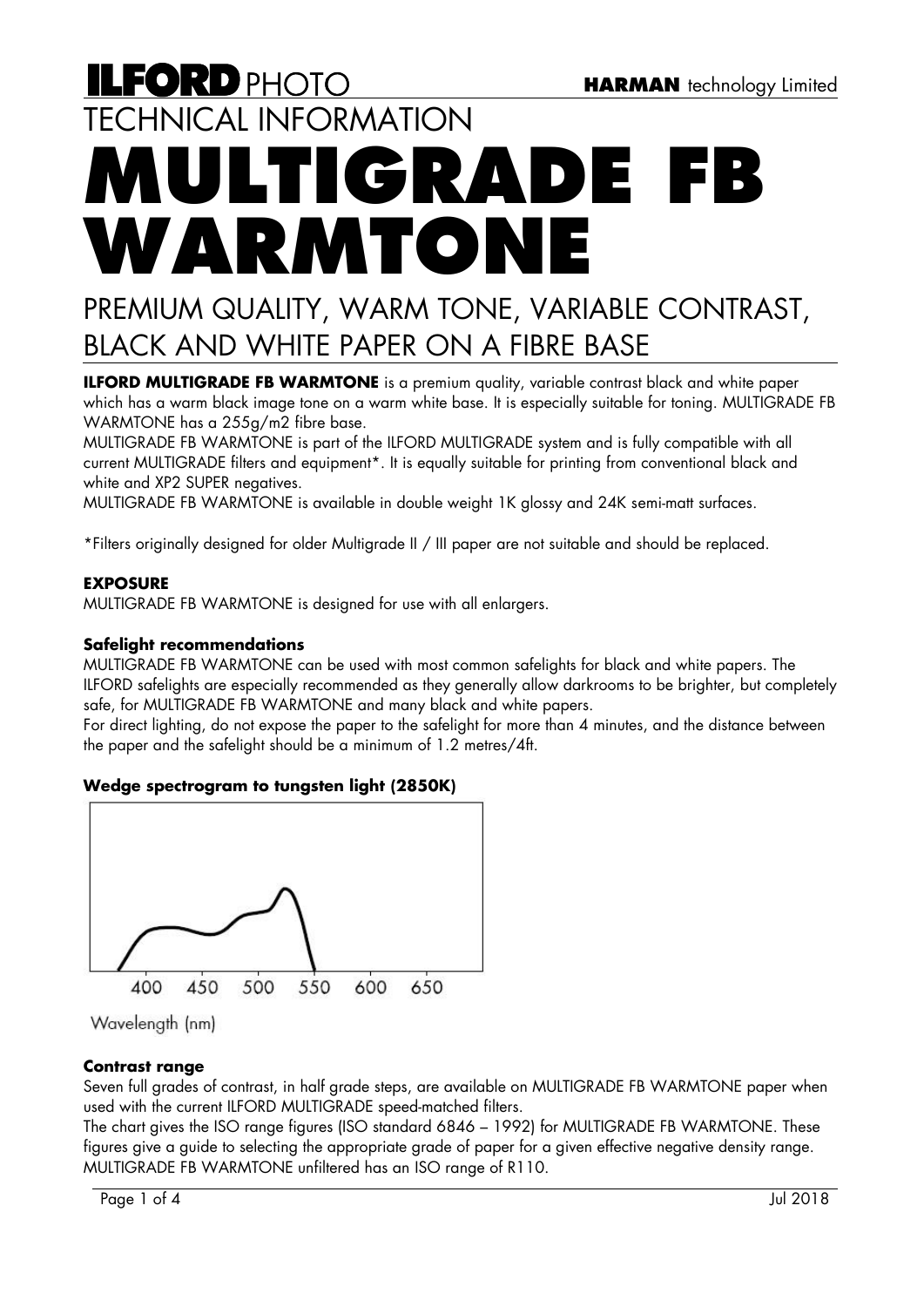# **ILFORD PHOTO** TECHNICAL INFORMATION **MULTIGRADE F**I **WARMTONE**

## PREMIUM QUALITY, WARM TONE, VARIABLE CONTRAST, BLACK AND WHITE PAPER ON A FIBRE BASE

**ILFORD MULTIGRADE FB WARMTONE** is a premium quality, variable contrast black and white paper which has a warm black image tone on a warm white base. It is especially suitable for toning. MULTIGRADE FB WARMTONE has a 255g/m2 fibre base.

MULTIGRADE FB WARMTONE is part of the ILFORD MULTIGRADE system and is fully compatible with all current MULTIGRADE filters and equipment\*. It is equally suitable for printing from conventional black and white and XP2 SUPER negatives.

MULTIGRADE FB WARMTONE is available in double weight 1K glossy and 24K semi-matt surfaces.

\*Filters originally designed for older Multigrade II / III paper are not suitable and should be replaced.

## **EXPOSURE**

MULTIGRADE FB WARMTONE is designed for use with all enlargers.

## **Safelight recommendations**

MULTIGRADE FB WARMTONE can be used with most common safelights for black and white papers. The ILFORD safelights are especially recommended as they generally allow darkrooms to be brighter, but completely safe, for MULTIGRADE FB WARMTONE and many black and white papers.

For direct lighting, do not expose the paper to the safelight for more than 4 minutes, and the distance between the paper and the safelight should be a minimum of 1.2 metres/4ft.

## **Wedge spectrogram to tungsten light (2850K)**



Wavelength (nm)

## **Contrast range**

Seven full grades of contrast, in half grade steps, are available on MULTIGRADE FB WARMTONE paper when used with the current ILFORD MULTIGRADE speed-matched filters.

The chart gives the ISO range figures (ISO standard 6846 – 1992) for MULTIGRADE FB WARMTONE. These figures give a guide to selecting the appropriate grade of paper for a given effective negative density range. MULTIGRADE FB WARMTONE unfiltered has an ISO range of R110.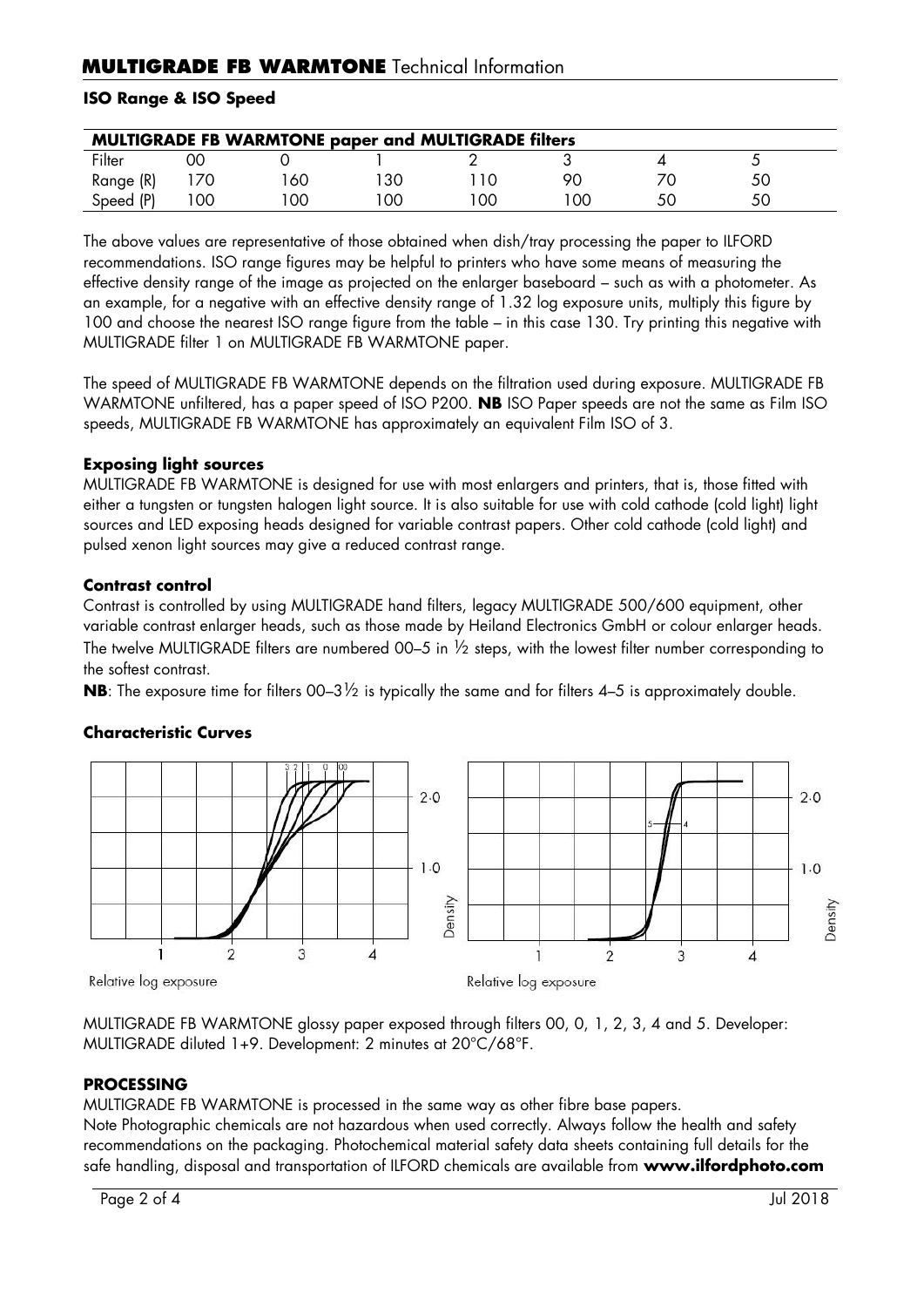## **ISO Range & ISO Speed**

| <b>MULTIGRADE FB WARMTONE paper and MULTIGRADE filters</b> |    |    |    |    |     |    |  |  |
|------------------------------------------------------------|----|----|----|----|-----|----|--|--|
| Filter                                                     | ОC |    |    |    |     |    |  |  |
| Range (R)                                                  |    | 60 | 30 |    | 90  |    |  |  |
| Speed (P)                                                  | 00 | 00 | 00 | 00 | OC. | 5С |  |  |

The above values are representative of those obtained when dish/tray processing the paper to ILFORD recommendations. ISO range figures may be helpful to printers who have some means of measuring the effective density range of the image as projected on the enlarger baseboard – such as with a photometer. As an example, for a negative with an effective density range of 1.32 log exposure units, multiply this figure by 100 and choose the nearest ISO range figure from the table – in this case 130. Try printing this negative with MULTIGRADE filter 1 on MULTIGRADE FB WARMTONE paper.

The speed of MULTIGRADE FB WARMTONE depends on the filtration used during exposure. MULTIGRADE FB WARMTONE unfiltered, has a paper speed of ISO P200. **NB** ISO Paper speeds are not the same as Film ISO speeds, MULTIGRADE FB WARMTONE has approximately an equivalent Film ISO of 3.

## **Exposing light sources**

MULTIGRADE FB WARMTONE is designed for use with most enlargers and printers, that is, those fitted with either a tungsten or tungsten halogen light source. It is also suitable for use with cold cathode (cold light) light sources and LED exposing heads designed for variable contrast papers. Other cold cathode (cold light) and pulsed xenon light sources may give a reduced contrast range.

## **Contrast control**

Contrast is controlled by using MULTIGRADE hand filters, legacy MULTIGRADE 500/600 equipment, other variable contrast enlarger heads, such as those made by Heiland Electronics GmbH or colour enlarger heads. The twelve MULTIGRADE filters are numbered 00–5 in  $\frac{1}{2}$  steps, with the lowest filter number corresponding to the softest contrast.

**NB**: The exposure time for filters 00–3½ is typically the same and for filters 4–5 is approximately double.

#### $2.0$  $2.0$  $1.0$  $1.0$ Density Density  $\overline{3}$  $\mathbf{I}$  $\overline{\Lambda}$  $\overline{a}$ 3  $\mathbf{1}$  $\overline{A}$ Relative log exposure Relative log exposure

## **Characteristic Curves**

MULTIGRADE FB WARMTONE glossy paper exposed through filters 00, 0, 1, 2, 3, 4 and 5. Developer: MULTIGRADE diluted 1+9. Development: 2 minutes at 20°C/68°F.

## **PROCESSING**

MULTIGRADE FB WARMTONE is processed in the same way as other fibre base papers.

Note Photographic chemicals are not hazardous when used correctly. Always follow the health and safety recommendations on the packaging. Photochemical material safety data sheets containing full details for the safe handling, disposal and transportation of ILFORD chemicals are available from **www.ilfordphoto.com**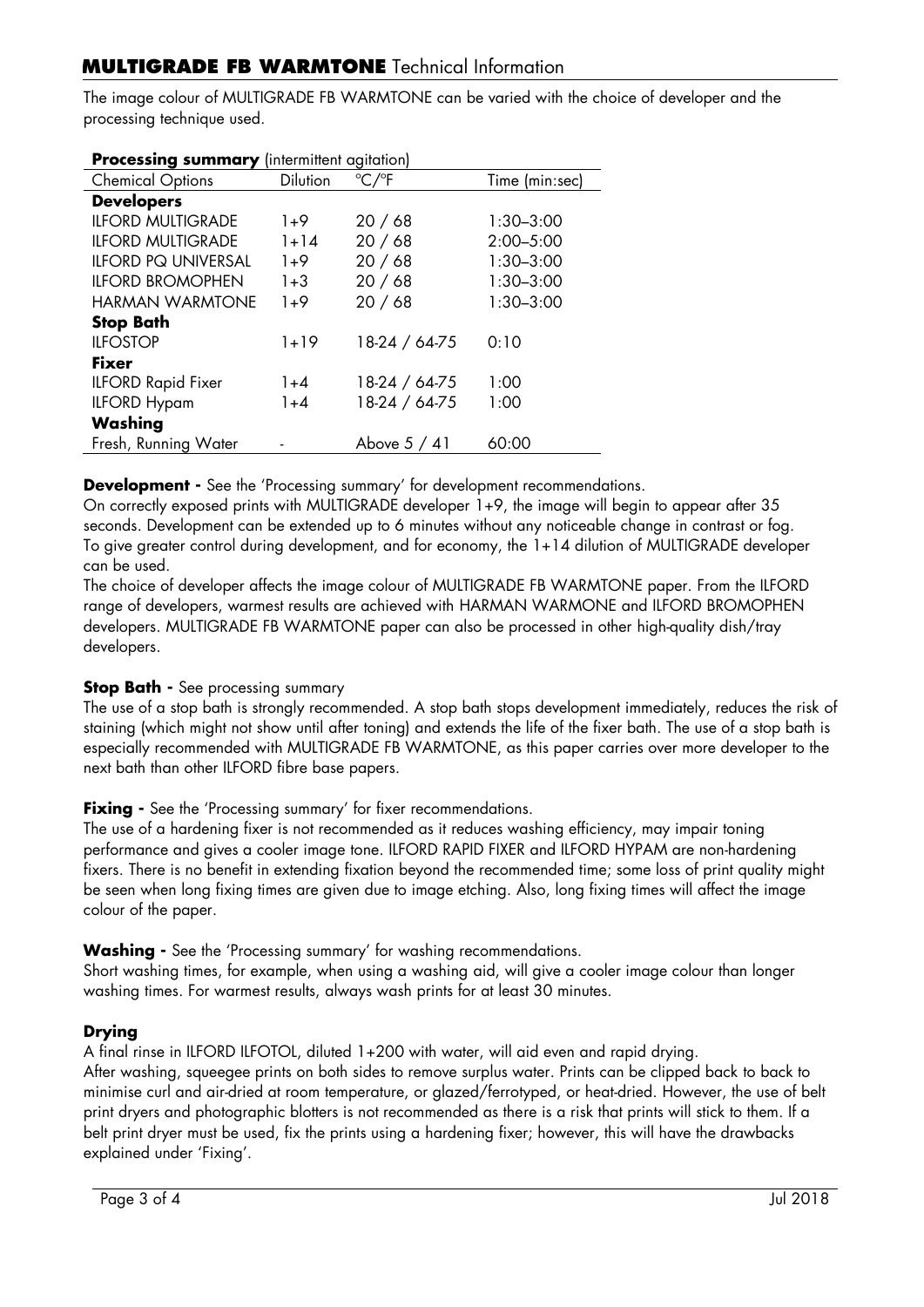## **MULTIGRADE FB WARMTONE** Technical Information

The image colour of MULTIGRADE FB WARMTONE can be varied with the choice of developer and the processing technique used.

| <b>Processing summary</b> (intermittent digitation) |                 |                          |                |  |  |  |
|-----------------------------------------------------|-----------------|--------------------------|----------------|--|--|--|
| <b>Chemical Options</b>                             | <b>Dilution</b> | $\degree$ C/ $\degree$ F | Time (min:sec) |  |  |  |
| <b>Developers</b>                                   |                 |                          |                |  |  |  |
| <b>ILFORD MULTIGRADE</b>                            | $1+9$           | 20/68                    | $1:30 - 3:00$  |  |  |  |
| <b>ILFORD MULTIGRADE</b>                            | $1 + 14$        | 20/68                    | $2:00 - 5:00$  |  |  |  |
| <b>ILFORD PQ UNIVERSAL</b>                          | $1+9$           | 20/68                    | $1:30 - 3:00$  |  |  |  |
| <b>ILFORD BROMOPHEN</b>                             | $1 + 3$         | 20/68                    | $1:30 - 3:00$  |  |  |  |
| <b>HARMAN WARMTONE</b>                              | $1+9$           | 20/68                    | $1:30 - 3:00$  |  |  |  |
| <b>Stop Bath</b>                                    |                 |                          |                |  |  |  |
| <b>ILFOSTOP</b>                                     | $1 + 19$        | 18-24 / 64-75            | 0:10           |  |  |  |
| <b>Fixer</b>                                        |                 |                          |                |  |  |  |
| <b>ILFORD Rapid Fixer</b>                           | $1 + 4$         | 18-24 / 64-75            | 1:00           |  |  |  |
| <b>ILFORD Hypam</b>                                 | $1 + 4$         | 18-24 / 64-75            | 1:00           |  |  |  |
| Washing                                             |                 |                          |                |  |  |  |
| Fresh, Running Water                                |                 | Above $5/41$             | 60:00          |  |  |  |
|                                                     |                 |                          |                |  |  |  |

**Processing summary** (intermittent agitation)

**Development -** See the 'Processing summary' for development recommendations.

On correctly exposed prints with MULTIGRADE developer 1+9, the image will begin to appear after 35 seconds. Development can be extended up to 6 minutes without any noticeable change in contrast or fog. To give greater control during development, and for economy, the 1+14 dilution of MULTIGRADE developer can be used.

The choice of developer affects the image colour of MULTIGRADE FB WARMTONE paper. From the ILFORD range of developers, warmest results are achieved with HARMAN WARMONE and ILFORD BROMOPHEN developers. MULTIGRADE FB WARMTONE paper can also be processed in other high-quality dish/tray developers.

## **Stop Bath -** See processing summary

The use of a stop bath is strongly recommended. A stop bath stops development immediately, reduces the risk of staining (which might not show until after toning) and extends the life of the fixer bath. The use of a stop bath is especially recommended with MULTIGRADE FB WARMTONE, as this paper carries over more developer to the next bath than other ILFORD fibre base papers.

**Fixing -** See the 'Processing summary' for fixer recommendations.

The use of a hardening fixer is not recommended as it reduces washing efficiency, may impair toning performance and gives a cooler image tone. ILFORD RAPID FIXER and ILFORD HYPAM are non-hardening fixers. There is no benefit in extending fixation beyond the recommended time; some loss of print quality might be seen when long fixing times are given due to image etching. Also, long fixing times will affect the image colour of the paper.

**Washing -** See the 'Processing summary' for washing recommendations.

Short washing times, for example, when using a washing aid, will give a cooler image colour than longer washing times. For warmest results, always wash prints for at least 30 minutes.

## **Drying**

A final rinse in ILFORD ILFOTOL, diluted 1+200 with water, will aid even and rapid drying.

After washing, squeegee prints on both sides to remove surplus water. Prints can be clipped back to back to minimise curl and air-dried at room temperature, or glazed/ferrotyped, or heat-dried. However, the use of belt print dryers and photographic blotters is not recommended as there is a risk that prints will stick to them. If a belt print dryer must be used, fix the prints using a hardening fixer; however, this will have the drawbacks explained under 'Fixing'.